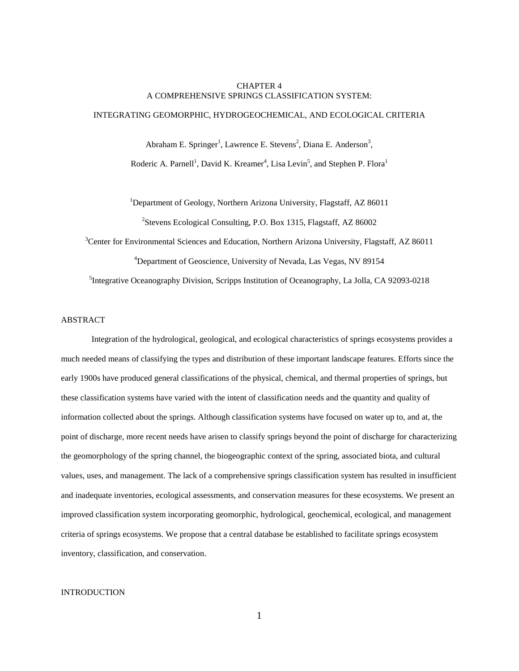# CHAPTER 4 A COMPREHENSIVE SPRINGS CLASSIFICATION SYSTEM:

# INTEGRATING GEOMORPHIC, HYDROGEOCHEMICAL, AND ECOLOGICAL CRITERIA

Abraham E. Springer<sup>1</sup>, Lawrence E. Stevens<sup>2</sup>, Diana E. Anderson<sup>3</sup>, Roderic A. Parnell<sup>1</sup>, David K. Kreamer<sup>4</sup>, Lisa Levin<sup>5</sup>, and Stephen P. Flora<sup>1</sup>

<sup>1</sup>Department of Geology, Northern Arizona University, Flagstaff, AZ 86011 <sup>2</sup>Stevens Ecological Consulting, P.O. Box 1315, Flagstaff, AZ 86002

<sup>3</sup>Center for Environmental Sciences and Education, Northern Arizona University, Flagstaff, AZ 86011

4 Department of Geoscience, University of Nevada, Las Vegas, NV 89154

5 Integrative Oceanography Division, Scripps Institution of Oceanography, La Jolla, CA 92093-0218

# ABSTRACT

Integration of the hydrological, geological, and ecological characteristics of springs ecosystems provides a much needed means of classifying the types and distribution of these important landscape features. Efforts since the early 1900s have produced general classifications of the physical, chemical, and thermal properties of springs, but these classification systems have varied with the intent of classification needs and the quantity and quality of information collected about the springs. Although classification systems have focused on water up to, and at, the point of discharge, more recent needs have arisen to classify springs beyond the point of discharge for characterizing the geomorphology of the spring channel, the biogeographic context of the spring, associated biota, and cultural values, uses, and management. The lack of a comprehensive springs classification system has resulted in insufficient and inadequate inventories, ecological assessments, and conservation measures for these ecosystems. We present an improved classification system incorporating geomorphic, hydrological, geochemical, ecological, and management criteria of springs ecosystems. We propose that a central database be established to facilitate springs ecosystem inventory, classification, and conservation.

## INTRODUCTION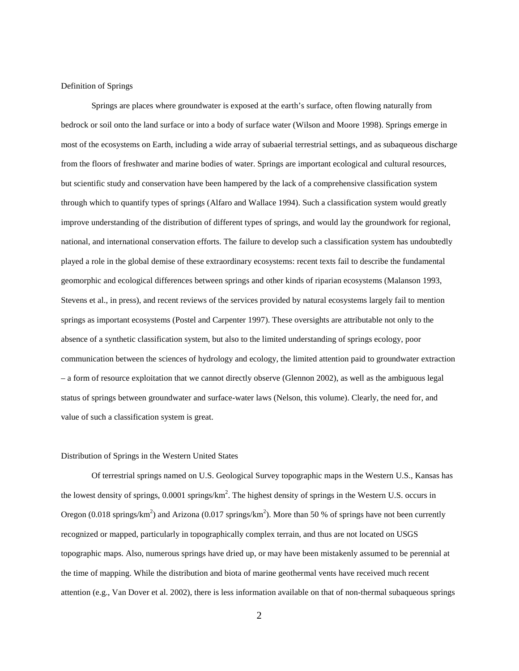## Definition of Springs

Springs are places where groundwater is exposed at the earth's surface, often flowing naturally from bedrock or soil onto the land surface or into a body of surface water (Wilson and Moore 1998). Springs emerge in most of the ecosystems on Earth, including a wide array of subaerial terrestrial settings, and as subaqueous discharge from the floors of freshwater and marine bodies of water. Springs are important ecological and cultural resources, but scientific study and conservation have been hampered by the lack of a comprehensive classification system through which to quantify types of springs (Alfaro and Wallace 1994). Such a classification system would greatly improve understanding of the distribution of different types of springs, and would lay the groundwork for regional, national, and international conservation efforts. The failure to develop such a classification system has undoubtedly played a role in the global demise of these extraordinary ecosystems: recent texts fail to describe the fundamental geomorphic and ecological differences between springs and other kinds of riparian ecosystems (Malanson 1993, Stevens et al., in press), and recent reviews of the services provided by natural ecosystems largely fail to mention springs as important ecosystems (Postel and Carpenter 1997). These oversights are attributable not only to the absence of a synthetic classification system, but also to the limited understanding of springs ecology, poor communication between the sciences of hydrology and ecology, the limited attention paid to groundwater extraction – a form of resource exploitation that we cannot directly observe (Glennon 2002), as well as the ambiguous legal status of springs between groundwater and surface-water laws (Nelson, this volume). Clearly, the need for, and value of such a classification system is great.

## Distribution of Springs in the Western United States

Of terrestrial springs named on U.S. Geological Survey topographic maps in the Western U.S., Kansas has the lowest density of springs, 0.0001 springs/km<sup>2</sup>. The highest density of springs in the Western U.S. occurs in Oregon (0.018 springs/km<sup>2</sup>) and Arizona (0.017 springs/km<sup>2</sup>). More than 50 % of springs have not been currently recognized or mapped, particularly in topographically complex terrain, and thus are not located on USGS topographic maps. Also, numerous springs have dried up, or may have been mistakenly assumed to be perennial at the time of mapping. While the distribution and biota of marine geothermal vents have received much recent attention (e.g., Van Dover et al. 2002), there is less information available on that of non-thermal subaqueous springs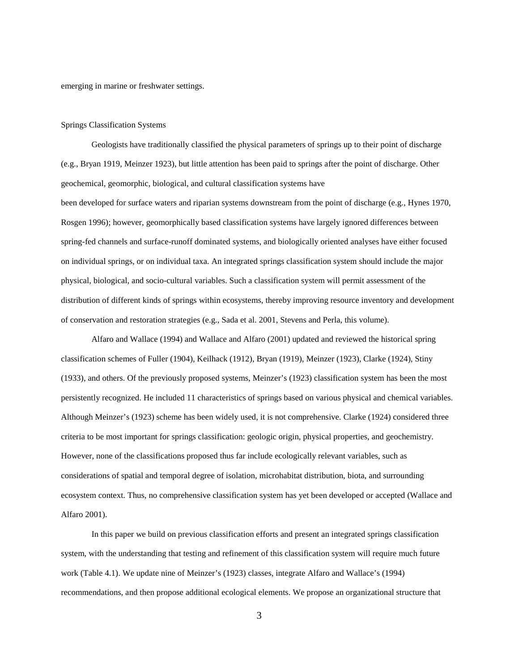emerging in marine or freshwater settings.

#### Springs Classification Systems

Geologists have traditionally classified the physical parameters of springs up to their point of discharge (e.g., Bryan 1919, Meinzer 1923), but little attention has been paid to springs after the point of discharge. Other geochemical, geomorphic, biological, and cultural classification systems have

been developed for surface waters and riparian systems downstream from the point of discharge (e.g., Hynes 1970, Rosgen 1996); however, geomorphically based classification systems have largely ignored differences between spring-fed channels and surface-runoff dominated systems, and biologically oriented analyses have either focused on individual springs, or on individual taxa. An integrated springs classification system should include the major physical, biological, and socio-cultural variables. Such a classification system will permit assessment of the distribution of different kinds of springs within ecosystems, thereby improving resource inventory and development of conservation and restoration strategies (e.g., Sada et al. 2001, Stevens and Perla, this volume).

Alfaro and Wallace (1994) and Wallace and Alfaro (2001) updated and reviewed the historical spring classification schemes of Fuller (1904), Keilhack (1912), Bryan (1919), Meinzer (1923), Clarke (1924), Stiny (1933), and others. Of the previously proposed systems, Meinzer's (1923) classification system has been the most persistently recognized. He included 11 characteristics of springs based on various physical and chemical variables. Although Meinzer's (1923) scheme has been widely used, it is not comprehensive. Clarke (1924) considered three criteria to be most important for springs classification: geologic origin, physical properties, and geochemistry. However, none of the classifications proposed thus far include ecologically relevant variables, such as considerations of spatial and temporal degree of isolation, microhabitat distribution, biota, and surrounding ecosystem context. Thus, no comprehensive classification system has yet been developed or accepted (Wallace and Alfaro 2001).

In this paper we build on previous classification efforts and present an integrated springs classification system, with the understanding that testing and refinement of this classification system will require much future work (Table 4.1). We update nine of Meinzer's (1923) classes, integrate Alfaro and Wallace's (1994) recommendations, and then propose additional ecological elements. We propose an organizational structure that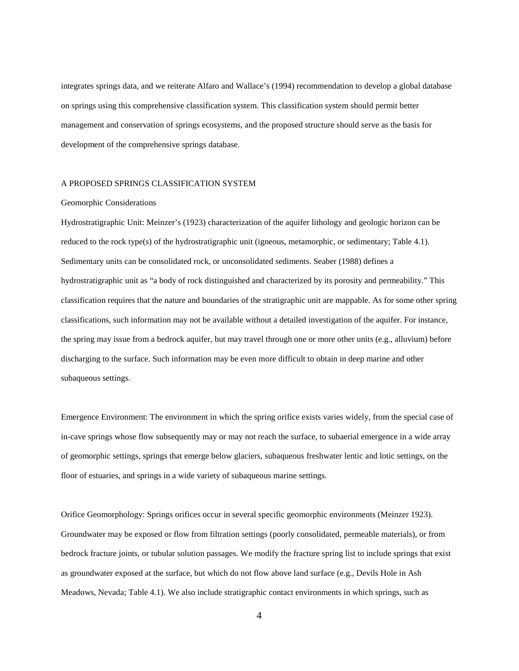integrates springs data, and we reiterate Alfaro and Wallace's (1994) recommendation to develop a global database on springs using this comprehensive classification system. This classification system should permit better management and conservation of springs ecosystems, and the proposed structure should serve as the basis for development of the comprehensive springs database.

### A PROPOSED SPRINGS CLASSIFICATION SYSTEM

#### Geomorphic Considerations

Hydrostratigraphic Unit: Meinzer's (1923) characterization of the aquifer lithology and geologic horizon can be reduced to the rock type(s) of the hydrostratigraphic unit (igneous, metamorphic, or sedimentary; Table 4.1). Sedimentary units can be consolidated rock, or unconsolidated sediments. Seaber (1988) defines a hydrostratigraphic unit as "a body of rock distinguished and characterized by its porosity and permeability." This classification requires that the nature and boundaries of the stratigraphic unit are mappable. As for some other spring classifications, such information may not be available without a detailed investigation of the aquifer. For instance, the spring may issue from a bedrock aquifer, but may travel through one or more other units (e.g., alluvium) before discharging to the surface. Such information may be even more difficult to obtain in deep marine and other subaqueous settings.

Emergence Environment: The environment in which the spring orifice exists varies widely, from the special case of in-cave springs whose flow subsequently may or may not reach the surface, to subaerial emergence in a wide array of geomorphic settings, springs that emerge below glaciers, subaqueous freshwater lentic and lotic settings, on the floor of estuaries, and springs in a wide variety of subaqueous marine settings.

Orifice Geomorphology: Springs orifices occur in several specific geomorphic environments (Meinzer 1923). Groundwater may be exposed or flow from filtration settings (poorly consolidated, permeable materials), or from bedrock fracture joints, or tubular solution passages. We modify the fracture spring list to include springs that exist as groundwater exposed at the surface, but which do not flow above land surface (e.g., Devils Hole in Ash Meadows, Nevada; Table 4.1). We also include stratigraphic contact environments in which springs, such as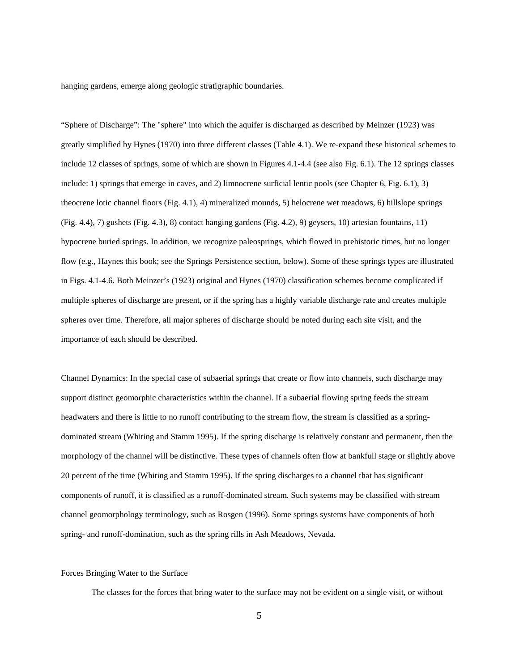hanging gardens, emerge along geologic stratigraphic boundaries.

"Sphere of Discharge": The "sphere" into which the aquifer is discharged as described by Meinzer (1923) was greatly simplified by Hynes (1970) into three different classes (Table 4.1). We re-expand these historical schemes to include 12 classes of springs, some of which are shown in Figures 4.1-4.4 (see also Fig. 6.1). The 12 springs classes include: 1) springs that emerge in caves, and 2) limnocrene surficial lentic pools (see Chapter 6, Fig. 6.1), 3) rheocrene lotic channel floors (Fig. 4.1), 4) mineralized mounds, 5) helocrene wet meadows, 6) hillslope springs (Fig. 4.4), 7) gushets (Fig. 4.3), 8) contact hanging gardens (Fig. 4.2), 9) geysers, 10) artesian fountains, 11) hypocrene buried springs. In addition, we recognize paleosprings, which flowed in prehistoric times, but no longer flow (e.g., Haynes this book; see the Springs Persistence section, below). Some of these springs types are illustrated in Figs. 4.1-4.6. Both Meinzer's (1923) original and Hynes (1970) classification schemes become complicated if multiple spheres of discharge are present, or if the spring has a highly variable discharge rate and creates multiple spheres over time. Therefore, all major spheres of discharge should be noted during each site visit, and the importance of each should be described.

Channel Dynamics: In the special case of subaerial springs that create or flow into channels, such discharge may support distinct geomorphic characteristics within the channel. If a subaerial flowing spring feeds the stream headwaters and there is little to no runoff contributing to the stream flow, the stream is classified as a springdominated stream (Whiting and Stamm 1995). If the spring discharge is relatively constant and permanent, then the morphology of the channel will be distinctive. These types of channels often flow at bankfull stage or slightly above 20 percent of the time (Whiting and Stamm 1995). If the spring discharges to a channel that has significant components of runoff, it is classified as a runoff-dominated stream. Such systems may be classified with stream channel geomorphology terminology, such as Rosgen (1996). Some springs systems have components of both spring- and runoff-domination, such as the spring rills in Ash Meadows, Nevada.

# Forces Bringing Water to the Surface

The classes for the forces that bring water to the surface may not be evident on a single visit, or without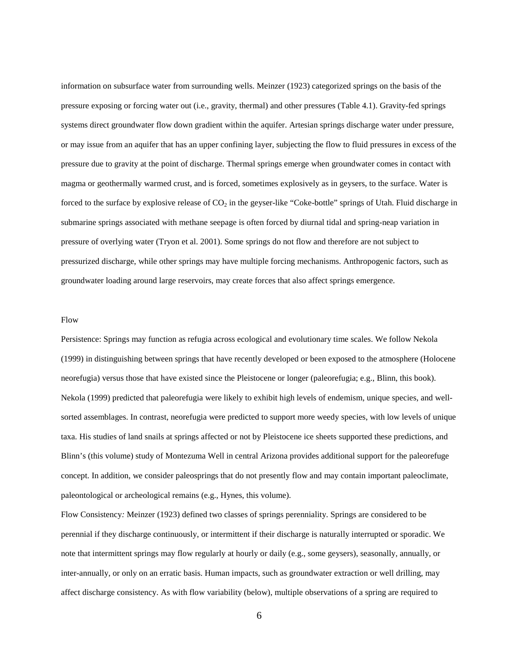information on subsurface water from surrounding wells. Meinzer (1923) categorized springs on the basis of the pressure exposing or forcing water out (i.e., gravity, thermal) and other pressures (Table 4.1). Gravity-fed springs systems direct groundwater flow down gradient within the aquifer. Artesian springs discharge water under pressure, or may issue from an aquifer that has an upper confining layer, subjecting the flow to fluid pressures in excess of the pressure due to gravity at the point of discharge. Thermal springs emerge when groundwater comes in contact with magma or geothermally warmed crust, and is forced, sometimes explosively as in geysers, to the surface. Water is forced to the surface by explosive release of  $CO<sub>2</sub>$  in the geyser-like "Coke-bottle" springs of Utah. Fluid discharge in submarine springs associated with methane seepage is often forced by diurnal tidal and spring-neap variation in pressure of overlying water (Tryon et al. 2001). Some springs do not flow and therefore are not subject to pressurized discharge, while other springs may have multiple forcing mechanisms. Anthropogenic factors, such as groundwater loading around large reservoirs, may create forces that also affect springs emergence.

#### Flow

Persistence: Springs may function as refugia across ecological and evolutionary time scales. We follow Nekola (1999) in distinguishing between springs that have recently developed or been exposed to the atmosphere (Holocene neorefugia) versus those that have existed since the Pleistocene or longer (paleorefugia; e.g., Blinn, this book). Nekola (1999) predicted that paleorefugia were likely to exhibit high levels of endemism, unique species, and wellsorted assemblages. In contrast, neorefugia were predicted to support more weedy species, with low levels of unique taxa. His studies of land snails at springs affected or not by Pleistocene ice sheets supported these predictions, and Blinn's (this volume) study of Montezuma Well in central Arizona provides additional support for the paleorefuge concept. In addition, we consider paleosprings that do not presently flow and may contain important paleoclimate, paleontological or archeological remains (e.g., Hynes, this volume).

Flow Consistency*:* Meinzer (1923) defined two classes of springs perenniality. Springs are considered to be perennial if they discharge continuously, or intermittent if their discharge is naturally interrupted or sporadic. We note that intermittent springs may flow regularly at hourly or daily (e.g., some geysers), seasonally, annually, or inter-annually, or only on an erratic basis. Human impacts, such as groundwater extraction or well drilling, may affect discharge consistency. As with flow variability (below), multiple observations of a spring are required to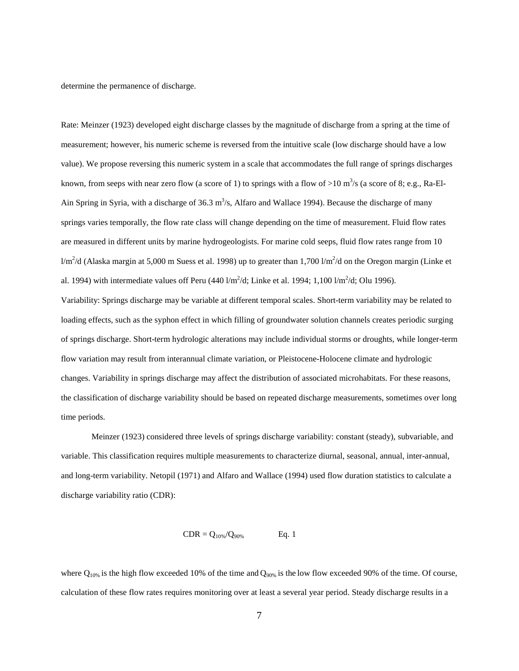determine the permanence of discharge.

Rate: Meinzer (1923) developed eight discharge classes by the magnitude of discharge from a spring at the time of measurement; however, his numeric scheme is reversed from the intuitive scale (low discharge should have a low value). We propose reversing this numeric system in a scale that accommodates the full range of springs discharges known, from seeps with near zero flow (a score of 1) to springs with a flow of >10 m<sup>3</sup>/s (a score of 8; e.g., Ra-El-Ain Spring in Syria, with a discharge of 36.3  $m<sup>3</sup>/s$ , Alfaro and Wallace 1994). Because the discharge of many springs varies temporally, the flow rate class will change depending on the time of measurement. Fluid flow rates are measured in different units by marine hydrogeologists. For marine cold seeps, fluid flow rates range from 10  $1/m^2/d$  (Alaska margin at 5,000 m Suess et al. 1998) up to greater than 1,700  $1/m^2/d$  on the Oregon margin (Linke et al. 1994) with intermediate values off Peru (440  $1/m^2/d$ ; Linke et al. 1994; 1,100  $1/m^2/d$ ; Olu 1996).

Variability: Springs discharge may be variable at different temporal scales. Short-term variability may be related to loading effects, such as the syphon effect in which filling of groundwater solution channels creates periodic surging of springs discharge. Short-term hydrologic alterations may include individual storms or droughts, while longer-term flow variation may result from interannual climate variation, or Pleistocene-Holocene climate and hydrologic changes. Variability in springs discharge may affect the distribution of associated microhabitats. For these reasons, the classification of discharge variability should be based on repeated discharge measurements, sometimes over long time periods.

Meinzer (1923) considered three levels of springs discharge variability: constant (steady), subvariable, and variable. This classification requires multiple measurements to characterize diurnal, seasonal, annual, inter-annual, and long-term variability. Netopil (1971) and Alfaro and Wallace (1994) used flow duration statistics to calculate a discharge variability ratio (CDR):

$$
CDR = Q_{10\%}/Q_{90\%} \qquad Eq. 1
$$

where  $Q_{10\%}$  is the high flow exceeded 10% of the time and  $Q_{90\%}$  is the low flow exceeded 90% of the time. Of course, calculation of these flow rates requires monitoring over at least a several year period. Steady discharge results in a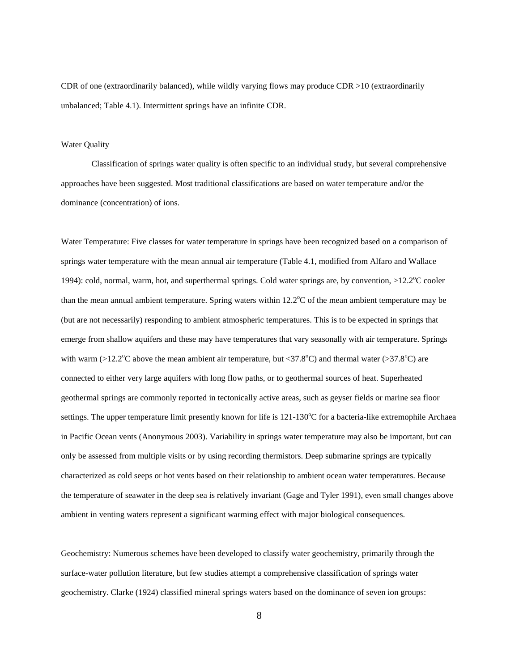CDR of one (extraordinarily balanced), while wildly varying flows may produce CDR >10 (extraordinarily unbalanced; Table 4.1). Intermittent springs have an infinite CDR.

## Water Quality

Classification of springs water quality is often specific to an individual study, but several comprehensive approaches have been suggested. Most traditional classifications are based on water temperature and/or the dominance (concentration) of ions.

Water Temperature: Five classes for water temperature in springs have been recognized based on a comparison of springs water temperature with the mean annual air temperature (Table 4.1, modified from Alfaro and Wallace 1994): cold, normal, warm, hot, and superthermal springs. Cold water springs are, by convention, >12.2°C cooler than the mean annual ambient temperature. Spring waters within  $12.2^{\circ}$ C of the mean ambient temperature may be (but are not necessarily) responding to ambient atmospheric temperatures. This is to be expected in springs that emerge from shallow aquifers and these may have temperatures that vary seasonally with air temperature. Springs with warm  $(>12.2^{\circ}$ C above the mean ambient air temperature, but <37.8°C) and thermal water ( $>37.8^{\circ}$ C) are connected to either very large aquifers with long flow paths, or to geothermal sources of heat. Superheated geothermal springs are commonly reported in tectonically active areas, such as geyser fields or marine sea floor settings. The upper temperature limit presently known for life is 121-130°C for a bacteria-like extremophile Archaea in Pacific Ocean vents (Anonymous 2003). Variability in springs water temperature may also be important, but can only be assessed from multiple visits or by using recording thermistors. Deep submarine springs are typically characterized as cold seeps or hot vents based on their relationship to ambient ocean water temperatures. Because the temperature of seawater in the deep sea is relatively invariant (Gage and Tyler 1991), even small changes above ambient in venting waters represent a significant warming effect with major biological consequences.

Geochemistry: Numerous schemes have been developed to classify water geochemistry, primarily through the surface-water pollution literature, but few studies attempt a comprehensive classification of springs water geochemistry. Clarke (1924) classified mineral springs waters based on the dominance of seven ion groups: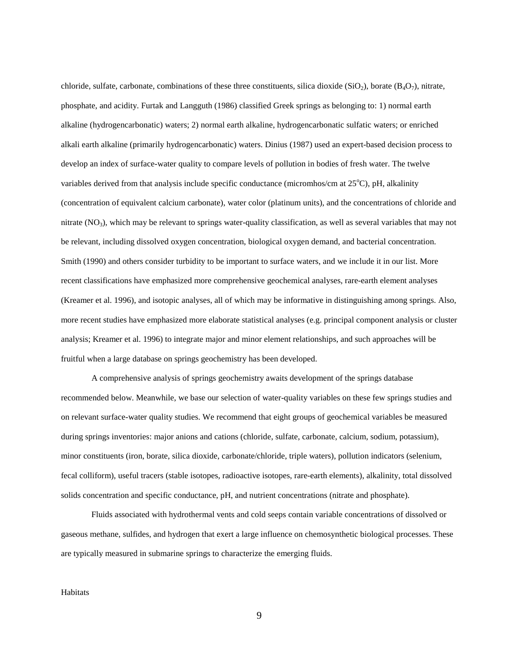chloride, sulfate, carbonate, combinations of these three constituents, silica dioxide (SiO<sub>2</sub>), borate (B<sub>4</sub>O<sub>7</sub>), nitrate, phosphate, and acidity. Furtak and Langguth (1986) classified Greek springs as belonging to: 1) normal earth alkaline (hydrogencarbonatic) waters; 2) normal earth alkaline, hydrogencarbonatic sulfatic waters; or enriched alkali earth alkaline (primarily hydrogencarbonatic) waters. Dinius (1987) used an expert-based decision process to develop an index of surface-water quality to compare levels of pollution in bodies of fresh water. The twelve variables derived from that analysis include specific conductance (micromhos/cm at 25°C), pH, alkalinity (concentration of equivalent calcium carbonate), water color (platinum units), and the concentrations of chloride and nitrate  $(NO<sub>3</sub>)$ , which may be relevant to springs water-quality classification, as well as several variables that may not be relevant, including dissolved oxygen concentration, biological oxygen demand, and bacterial concentration. Smith (1990) and others consider turbidity to be important to surface waters, and we include it in our list. More recent classifications have emphasized more comprehensive geochemical analyses, rare-earth element analyses (Kreamer et al. 1996), and isotopic analyses, all of which may be informative in distinguishing among springs. Also, more recent studies have emphasized more elaborate statistical analyses (e.g. principal component analysis or cluster analysis; Kreamer et al. 1996) to integrate major and minor element relationships, and such approaches will be fruitful when a large database on springs geochemistry has been developed.

A comprehensive analysis of springs geochemistry awaits development of the springs database recommended below. Meanwhile, we base our selection of water-quality variables on these few springs studies and on relevant surface-water quality studies. We recommend that eight groups of geochemical variables be measured during springs inventories: major anions and cations (chloride, sulfate, carbonate, calcium, sodium, potassium), minor constituents (iron, borate, silica dioxide, carbonate/chloride, triple waters), pollution indicators (selenium, fecal colliform), useful tracers (stable isotopes, radioactive isotopes, rare-earth elements), alkalinity, total dissolved solids concentration and specific conductance, pH, and nutrient concentrations (nitrate and phosphate).

Fluids associated with hydrothermal vents and cold seeps contain variable concentrations of dissolved or gaseous methane, sulfides, and hydrogen that exert a large influence on chemosynthetic biological processes. These are typically measured in submarine springs to characterize the emerging fluids.

**Habitats**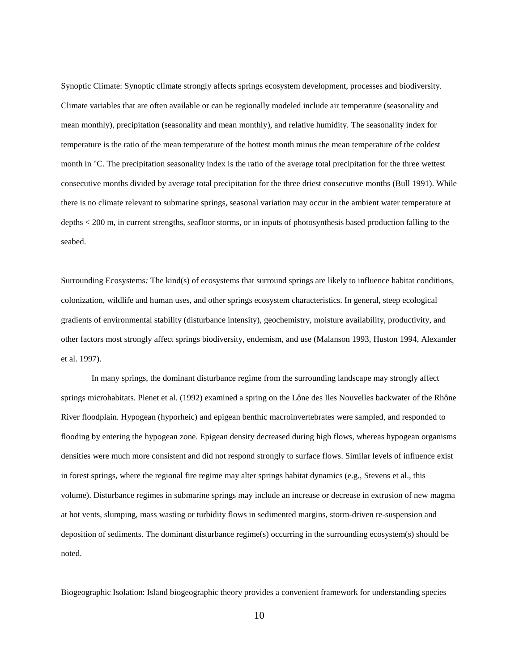Synoptic Climate: Synoptic climate strongly affects springs ecosystem development, processes and biodiversity. Climate variables that are often available or can be regionally modeled include air temperature (seasonality and mean monthly), precipitation (seasonality and mean monthly), and relative humidity. The seasonality index for temperature is the ratio of the mean temperature of the hottest month minus the mean temperature of the coldest month in °C. The precipitation seasonality index is the ratio of the average total precipitation for the three wettest consecutive months divided by average total precipitation for the three driest consecutive months (Bull 1991). While there is no climate relevant to submarine springs, seasonal variation may occur in the ambient water temperature at depths < 200 m, in current strengths, seafloor storms, or in inputs of photosynthesis based production falling to the seabed.

Surrounding Ecosystems*:* The kind(s) of ecosystems that surround springs are likely to influence habitat conditions, colonization, wildlife and human uses, and other springs ecosystem characteristics. In general, steep ecological gradients of environmental stability (disturbance intensity), geochemistry, moisture availability, productivity, and other factors most strongly affect springs biodiversity, endemism, and use (Malanson 1993, Huston 1994, Alexander et al. 1997).

In many springs, the dominant disturbance regime from the surrounding landscape may strongly affect springs microhabitats. Plenet et al. (1992) examined a spring on the Lône des Iles Nouvelles backwater of the Rhône River floodplain. Hypogean (hyporheic) and epigean benthic macroinvertebrates were sampled, and responded to flooding by entering the hypogean zone. Epigean density decreased during high flows, whereas hypogean organisms densities were much more consistent and did not respond strongly to surface flows. Similar levels of influence exist in forest springs, where the regional fire regime may alter springs habitat dynamics (e.g., Stevens et al., this volume). Disturbance regimes in submarine springs may include an increase or decrease in extrusion of new magma at hot vents, slumping, mass wasting or turbidity flows in sedimented margins, storm-driven re-suspension and deposition of sediments. The dominant disturbance regime(s) occurring in the surrounding ecosystem(s) should be noted.

Biogeographic Isolation: Island biogeographic theory provides a convenient framework for understanding species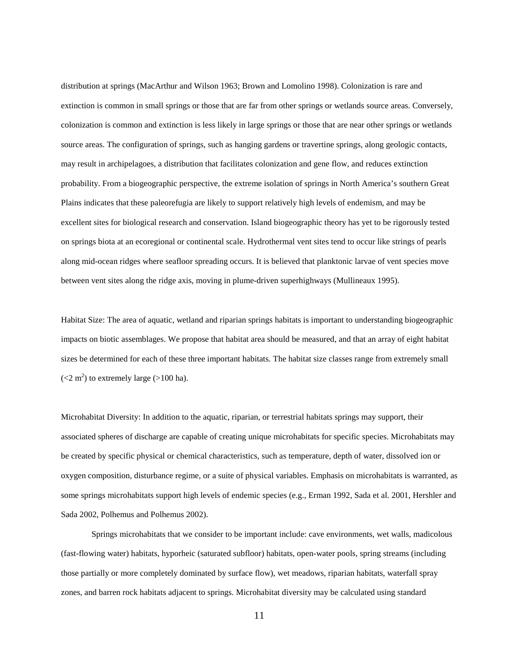distribution at springs (MacArthur and Wilson 1963; Brown and Lomolino 1998). Colonization is rare and extinction is common in small springs or those that are far from other springs or wetlands source areas. Conversely, colonization is common and extinction is less likely in large springs or those that are near other springs or wetlands source areas. The configuration of springs, such as hanging gardens or travertine springs, along geologic contacts, may result in archipelagoes, a distribution that facilitates colonization and gene flow, and reduces extinction probability. From a biogeographic perspective, the extreme isolation of springs in North America's southern Great Plains indicates that these paleorefugia are likely to support relatively high levels of endemism, and may be excellent sites for biological research and conservation. Island biogeographic theory has yet to be rigorously tested on springs biota at an ecoregional or continental scale. Hydrothermal vent sites tend to occur like strings of pearls along mid-ocean ridges where seafloor spreading occurs. It is believed that planktonic larvae of vent species move between vent sites along the ridge axis, moving in plume-driven superhighways (Mullineaux 1995).

Habitat Size: The area of aquatic, wetland and riparian springs habitats is important to understanding biogeographic impacts on biotic assemblages. We propose that habitat area should be measured, and that an array of eight habitat sizes be determined for each of these three important habitats. The habitat size classes range from extremely small  $(< 2 \text{ m}^2$ ) to extremely large (>100 ha).

Microhabitat Diversity: In addition to the aquatic, riparian, or terrestrial habitats springs may support, their associated spheres of discharge are capable of creating unique microhabitats for specific species. Microhabitats may be created by specific physical or chemical characteristics, such as temperature, depth of water, dissolved ion or oxygen composition, disturbance regime, or a suite of physical variables. Emphasis on microhabitats is warranted, as some springs microhabitats support high levels of endemic species (e.g., Erman 1992, Sada et al. 2001, Hershler and Sada 2002, Polhemus and Polhemus 2002).

Springs microhabitats that we consider to be important include: cave environments, wet walls, madicolous (fast-flowing water) habitats, hyporheic (saturated subfloor) habitats, open-water pools, spring streams (including those partially or more completely dominated by surface flow), wet meadows, riparian habitats, waterfall spray zones, and barren rock habitats adjacent to springs. Microhabitat diversity may be calculated using standard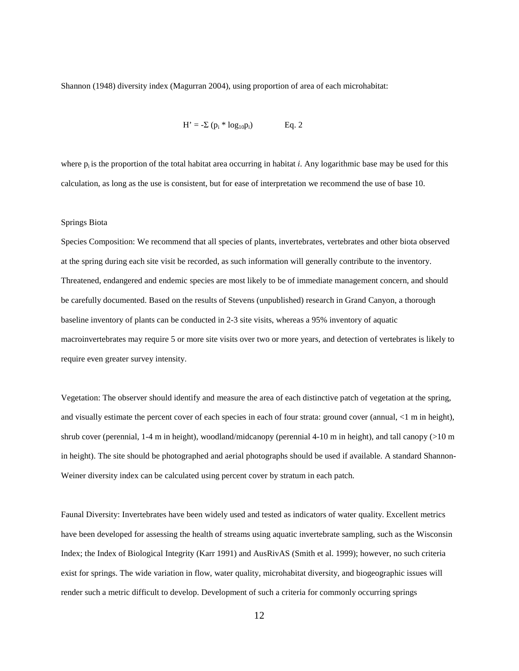Shannon (1948) diversity index (Magurran 2004), using proportion of area of each microhabitat:

$$
H' = -\Sigma (p_i * log_{10}p_i)
$$
 Eq. 2

where  $p_i$  is the proportion of the total habitat area occurring in habitat *i*. Any logarithmic base may be used for this calculation, as long as the use is consistent, but for ease of interpretation we recommend the use of base 10.

### Springs Biota

Species Composition: We recommend that all species of plants, invertebrates, vertebrates and other biota observed at the spring during each site visit be recorded, as such information will generally contribute to the inventory. Threatened, endangered and endemic species are most likely to be of immediate management concern, and should be carefully documented. Based on the results of Stevens (unpublished) research in Grand Canyon, a thorough baseline inventory of plants can be conducted in 2-3 site visits, whereas a 95% inventory of aquatic macroinvertebrates may require 5 or more site visits over two or more years, and detection of vertebrates is likely to require even greater survey intensity.

Vegetation: The observer should identify and measure the area of each distinctive patch of vegetation at the spring, and visually estimate the percent cover of each species in each of four strata: ground cover (annual, <1 m in height), shrub cover (perennial, 1-4 m in height), woodland/midcanopy (perennial 4-10 m in height), and tall canopy (>10 m in height). The site should be photographed and aerial photographs should be used if available. A standard Shannon-Weiner diversity index can be calculated using percent cover by stratum in each patch.

Faunal Diversity: Invertebrates have been widely used and tested as indicators of water quality. Excellent metrics have been developed for assessing the health of streams using aquatic invertebrate sampling, such as the Wisconsin Index; the Index of Biological Integrity (Karr 1991) and AusRivAS (Smith et al. 1999); however, no such criteria exist for springs. The wide variation in flow, water quality, microhabitat diversity, and biogeographic issues will render such a metric difficult to develop. Development of such a criteria for commonly occurring springs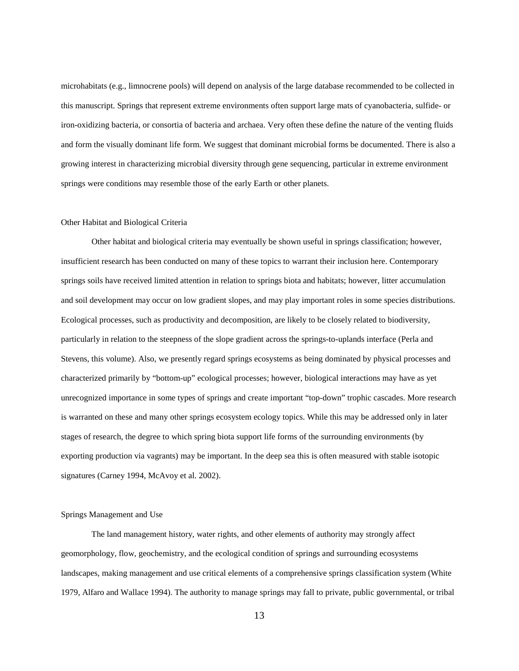microhabitats (e.g., limnocrene pools) will depend on analysis of the large database recommended to be collected in this manuscript. Springs that represent extreme environments often support large mats of cyanobacteria, sulfide- or iron-oxidizing bacteria, or consortia of bacteria and archaea. Very often these define the nature of the venting fluids and form the visually dominant life form. We suggest that dominant microbial forms be documented. There is also a growing interest in characterizing microbial diversity through gene sequencing, particular in extreme environment springs were conditions may resemble those of the early Earth or other planets.

## Other Habitat and Biological Criteria

Other habitat and biological criteria may eventually be shown useful in springs classification; however, insufficient research has been conducted on many of these topics to warrant their inclusion here. Contemporary springs soils have received limited attention in relation to springs biota and habitats; however, litter accumulation and soil development may occur on low gradient slopes, and may play important roles in some species distributions. Ecological processes, such as productivity and decomposition, are likely to be closely related to biodiversity, particularly in relation to the steepness of the slope gradient across the springs-to-uplands interface (Perla and Stevens, this volume). Also, we presently regard springs ecosystems as being dominated by physical processes and characterized primarily by "bottom-up" ecological processes; however, biological interactions may have as yet unrecognized importance in some types of springs and create important "top-down" trophic cascades. More research is warranted on these and many other springs ecosystem ecology topics. While this may be addressed only in later stages of research, the degree to which spring biota support life forms of the surrounding environments (by exporting production via vagrants) may be important. In the deep sea this is often measured with stable isotopic signatures (Carney 1994, McAvoy et al. 2002).

### Springs Management and Use

The land management history, water rights, and other elements of authority may strongly affect geomorphology, flow, geochemistry, and the ecological condition of springs and surrounding ecosystems landscapes, making management and use critical elements of a comprehensive springs classification system (White 1979, Alfaro and Wallace 1994). The authority to manage springs may fall to private, public governmental, or tribal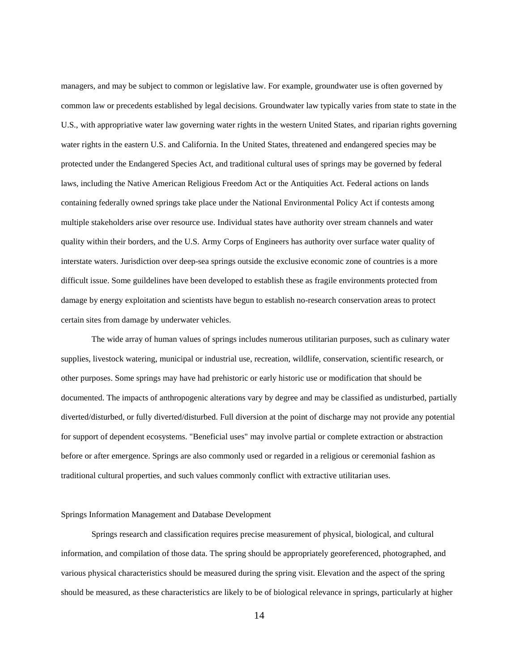managers, and may be subject to common or legislative law. For example, groundwater use is often governed by common law or precedents established by legal decisions. Groundwater law typically varies from state to state in the U.S., with appropriative water law governing water rights in the western United States, and riparian rights governing water rights in the eastern U.S. and California. In the United States, threatened and endangered species may be protected under the Endangered Species Act, and traditional cultural uses of springs may be governed by federal laws, including the Native American Religious Freedom Act or the Antiquities Act. Federal actions on lands containing federally owned springs take place under the National Environmental Policy Act if contests among multiple stakeholders arise over resource use. Individual states have authority over stream channels and water quality within their borders, and the U.S. Army Corps of Engineers has authority over surface water quality of interstate waters. Jurisdiction over deep-sea springs outside the exclusive economic zone of countries is a more difficult issue. Some guildelines have been developed to establish these as fragile environments protected from damage by energy exploitation and scientists have begun to establish no-research conservation areas to protect certain sites from damage by underwater vehicles.

The wide array of human values of springs includes numerous utilitarian purposes, such as culinary water supplies, livestock watering, municipal or industrial use, recreation, wildlife, conservation, scientific research, or other purposes. Some springs may have had prehistoric or early historic use or modification that should be documented. The impacts of anthropogenic alterations vary by degree and may be classified as undisturbed, partially diverted/disturbed, or fully diverted/disturbed. Full diversion at the point of discharge may not provide any potential for support of dependent ecosystems. "Beneficial uses" may involve partial or complete extraction or abstraction before or after emergence. Springs are also commonly used or regarded in a religious or ceremonial fashion as traditional cultural properties, and such values commonly conflict with extractive utilitarian uses.

## Springs Information Management and Database Development

Springs research and classification requires precise measurement of physical, biological, and cultural information, and compilation of those data. The spring should be appropriately georeferenced, photographed, and various physical characteristics should be measured during the spring visit. Elevation and the aspect of the spring should be measured, as these characteristics are likely to be of biological relevance in springs, particularly at higher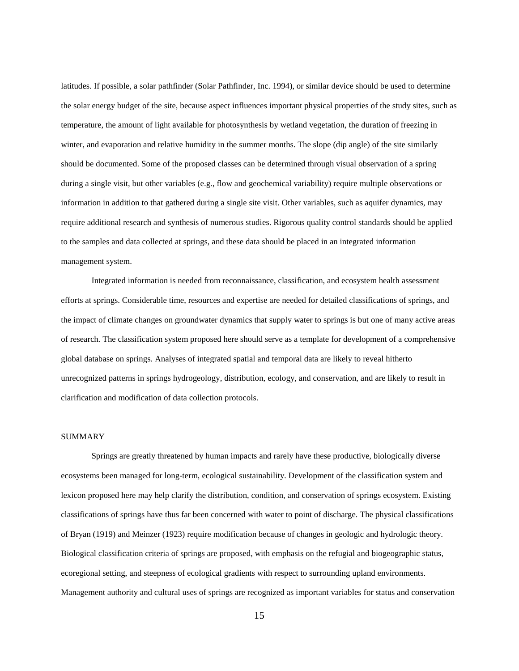latitudes. If possible, a solar pathfinder (Solar Pathfinder, Inc. 1994), or similar device should be used to determine the solar energy budget of the site, because aspect influences important physical properties of the study sites, such as temperature, the amount of light available for photosynthesis by wetland vegetation, the duration of freezing in winter, and evaporation and relative humidity in the summer months. The slope (dip angle) of the site similarly should be documented. Some of the proposed classes can be determined through visual observation of a spring during a single visit, but other variables (e.g., flow and geochemical variability) require multiple observations or information in addition to that gathered during a single site visit. Other variables, such as aquifer dynamics, may require additional research and synthesis of numerous studies. Rigorous quality control standards should be applied to the samples and data collected at springs, and these data should be placed in an integrated information management system.

Integrated information is needed from reconnaissance, classification, and ecosystem health assessment efforts at springs. Considerable time, resources and expertise are needed for detailed classifications of springs, and the impact of climate changes on groundwater dynamics that supply water to springs is but one of many active areas of research. The classification system proposed here should serve as a template for development of a comprehensive global database on springs. Analyses of integrated spatial and temporal data are likely to reveal hitherto unrecognized patterns in springs hydrogeology, distribution, ecology, and conservation, and are likely to result in clarification and modification of data collection protocols.

### SUMMARY

Springs are greatly threatened by human impacts and rarely have these productive, biologically diverse ecosystems been managed for long-term, ecological sustainability. Development of the classification system and lexicon proposed here may help clarify the distribution, condition, and conservation of springs ecosystem. Existing classifications of springs have thus far been concerned with water to point of discharge. The physical classifications of Bryan (1919) and Meinzer (1923) require modification because of changes in geologic and hydrologic theory. Biological classification criteria of springs are proposed, with emphasis on the refugial and biogeographic status, ecoregional setting, and steepness of ecological gradients with respect to surrounding upland environments. Management authority and cultural uses of springs are recognized as important variables for status and conservation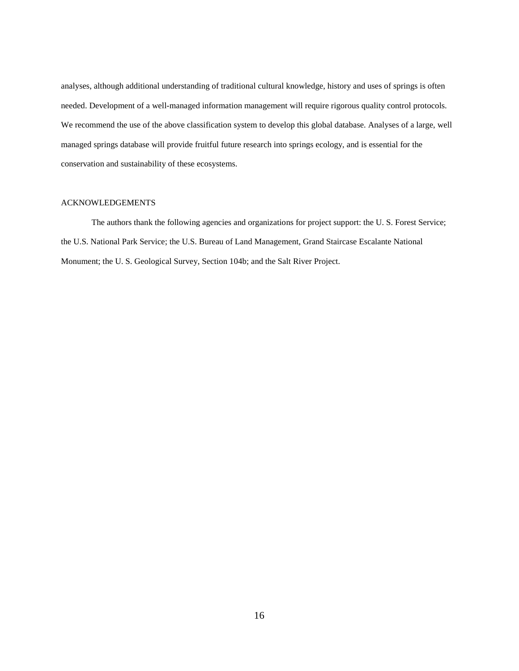analyses, although additional understanding of traditional cultural knowledge, history and uses of springs is often needed. Development of a well-managed information management will require rigorous quality control protocols. We recommend the use of the above classification system to develop this global database. Analyses of a large, well managed springs database will provide fruitful future research into springs ecology, and is essential for the conservation and sustainability of these ecosystems.

## ACKNOWLEDGEMENTS

The authors thank the following agencies and organizations for project support: the U. S. Forest Service; the U.S. National Park Service; the U.S. Bureau of Land Management, Grand Staircase Escalante National Monument; the U. S. Geological Survey, Section 104b; and the Salt River Project.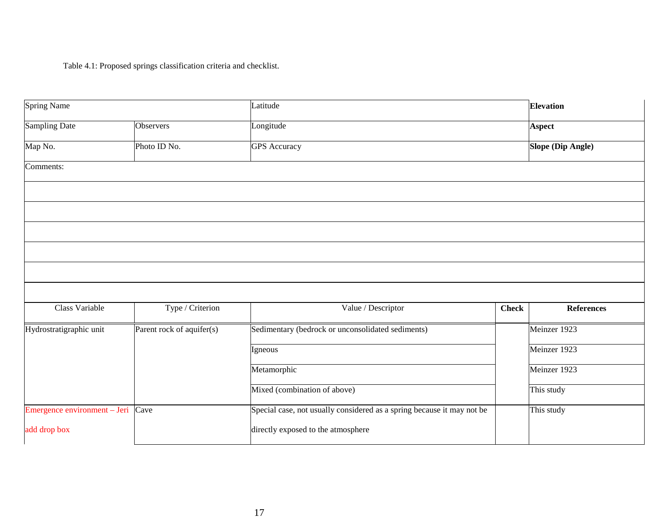Table 4.1: Proposed springs classification criteria and checklist.

| Spring Name                       |                           | Latitude                                                               |              | <b>Elevation</b>  |
|-----------------------------------|---------------------------|------------------------------------------------------------------------|--------------|-------------------|
| Sampling Date                     | Observers                 | Longitude                                                              |              | <b>Aspect</b>     |
| Map No.                           | Photo ID No.              | <b>GPS</b> Accuracy                                                    |              | Slope (Dip Angle) |
| Comments:                         |                           |                                                                        |              |                   |
|                                   |                           |                                                                        |              |                   |
|                                   |                           |                                                                        |              |                   |
|                                   |                           |                                                                        |              |                   |
|                                   |                           |                                                                        |              |                   |
|                                   |                           |                                                                        |              |                   |
|                                   |                           |                                                                        |              |                   |
| Class Variable                    | Type / Criterion          | Value / Descriptor                                                     | <b>Check</b> | <b>References</b> |
| Hydrostratigraphic unit           | Parent rock of aquifer(s) | Sedimentary (bedrock or unconsolidated sediments)                      |              | Meinzer 1923      |
|                                   |                           | Igneous                                                                |              | Meinzer 1923      |
|                                   |                           | Metamorphic                                                            |              | Meinzer 1923      |
|                                   |                           | Mixed (combination of above)                                           |              | This study        |
| Emergence environment – Jeri Cave |                           | Special case, not usually considered as a spring because it may not be |              | This study        |
| add drop box                      |                           | directly exposed to the atmosphere                                     |              |                   |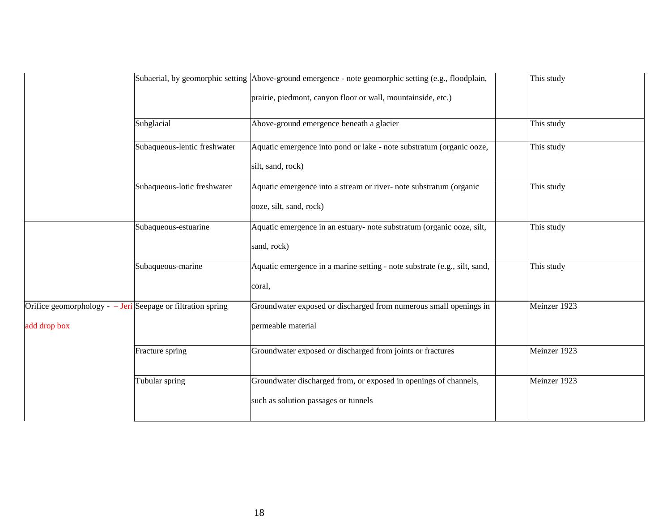|                                                             |                              | Subaerial, by geomorphic setting Above-ground emergence - note geomorphic setting (e.g., floodplain, | This study   |
|-------------------------------------------------------------|------------------------------|------------------------------------------------------------------------------------------------------|--------------|
|                                                             |                              | prairie, piedmont, canyon floor or wall, mountainside, etc.)                                         |              |
|                                                             | Subglacial                   | Above-ground emergence beneath a glacier                                                             | This study   |
|                                                             | Subaqueous-lentic freshwater | Aquatic emergence into pond or lake - note substratum (organic ooze,                                 | This study   |
|                                                             |                              | silt, sand, rock)                                                                                    |              |
|                                                             | Subaqueous-lotic freshwater  | Aquatic emergence into a stream or river- note substratum (organic                                   | This study   |
|                                                             |                              | ooze, silt, sand, rock)                                                                              |              |
|                                                             | Subaqueous-estuarine         | Aquatic emergence in an estuary- note substratum (organic ooze, silt,                                | This study   |
|                                                             |                              | sand, rock)                                                                                          |              |
|                                                             | Subaqueous-marine            | Aquatic emergence in a marine setting - note substrate (e.g., silt, sand,                            | This study   |
|                                                             |                              | coral,                                                                                               |              |
| Orifice geomorphology - - Jeri Seepage or filtration spring |                              | Groundwater exposed or discharged from numerous small openings in                                    | Meinzer 1923 |
| add drop box                                                |                              | permeable material                                                                                   |              |
|                                                             | Fracture spring              | Groundwater exposed or discharged from joints or fractures                                           | Meinzer 1923 |
|                                                             | Tubular spring               | Groundwater discharged from, or exposed in openings of channels,                                     | Meinzer 1923 |
|                                                             |                              | such as solution passages or tunnels                                                                 |              |
|                                                             |                              |                                                                                                      |              |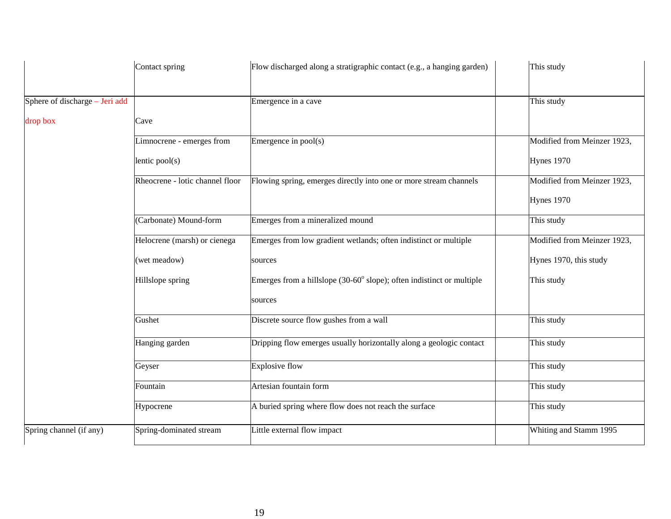|                                | Contact spring                  | Flow discharged along a stratigraphic contact (e.g., a hanging garden)                 | This study                  |
|--------------------------------|---------------------------------|----------------------------------------------------------------------------------------|-----------------------------|
| Sphere of discharge - Jeri add |                                 | Emergence in a cave                                                                    | This study                  |
| drop box                       | Cave                            |                                                                                        |                             |
|                                | Limnocrene - emerges from       | Emergence in pool(s)                                                                   | Modified from Meinzer 1923, |
|                                | lentic $pool(s)$                |                                                                                        | Hynes 1970                  |
|                                | Rheocrene - lotic channel floor | Flowing spring, emerges directly into one or more stream channels                      | Modified from Meinzer 1923, |
|                                |                                 |                                                                                        | <b>Hynes</b> 1970           |
|                                | (Carbonate) Mound-form          | Emerges from a mineralized mound                                                       | This study                  |
|                                | Helocrene (marsh) or cienega    | Emerges from low gradient wetlands; often indistinct or multiple                       | Modified from Meinzer 1923, |
|                                | (wet meadow)                    | sources                                                                                | Hynes 1970, this study      |
|                                | Hillslope spring                | Emerges from a hillslope $(30{\text -}60^{\circ}$ slope); often indistinct or multiple | This study                  |
|                                |                                 | sources                                                                                |                             |
|                                | Gushet                          | Discrete source flow gushes from a wall                                                | This study                  |
|                                | Hanging garden                  | Dripping flow emerges usually horizontally along a geologic contact                    | This study                  |
|                                | Geyser                          | Explosive flow                                                                         | This study                  |
|                                | Fountain                        | Artesian fountain form                                                                 | This study                  |
|                                | Hypocrene                       | A buried spring where flow does not reach the surface                                  | This study                  |
| Spring channel (if any)        | Spring-dominated stream         | Little external flow impact                                                            | Whiting and Stamm 1995      |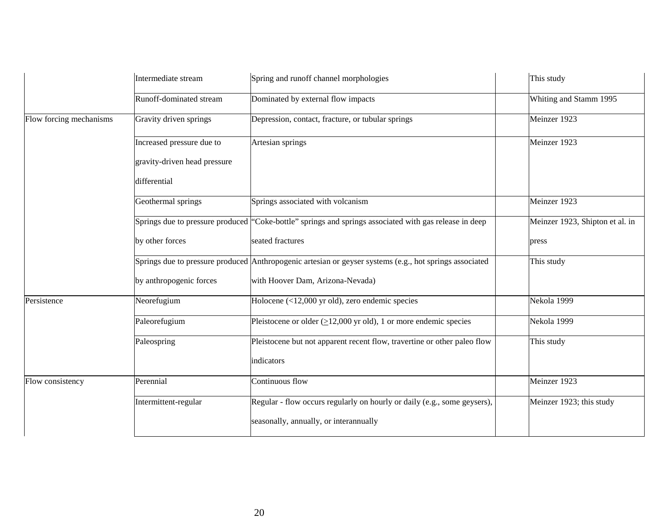|                         | Intermediate stream          | Spring and runoff channel morphologies                                                                  | This study                      |
|-------------------------|------------------------------|---------------------------------------------------------------------------------------------------------|---------------------------------|
|                         | Runoff-dominated stream      | Dominated by external flow impacts                                                                      | Whiting and Stamm 1995          |
| Flow forcing mechanisms | Gravity driven springs       | Depression, contact, fracture, or tubular springs                                                       | Meinzer 1923                    |
|                         | Increased pressure due to    | Artesian springs                                                                                        | Meinzer 1923                    |
|                         | gravity-driven head pressure |                                                                                                         |                                 |
|                         | differential                 |                                                                                                         |                                 |
|                         | Geothermal springs           | Springs associated with volcanism                                                                       | Meinzer 1923                    |
|                         |                              | Springs due to pressure produced "Coke-bottle" springs and springs associated with gas release in deep  | Meinzer 1923, Shipton et al. in |
|                         | by other forces              | seated fractures                                                                                        | press                           |
|                         |                              | Springs due to pressure produced Anthropogenic artesian or geyser systems (e.g., hot springs associated | This study                      |
|                         | by anthropogenic forces      | with Hoover Dam, Arizona-Nevada)                                                                        |                                 |
| Persistence             | Neorefugium                  | Holocene $(\langle 12,000 \rangle)$ yr old), zero endemic species                                       | Nekola 1999                     |
|                         | Paleorefugium                | Pleistocene or older $(\geq 12,000 \text{ yr old})$ , 1 or more endemic species                         | Nekola 1999                     |
|                         | Paleospring                  | Pleistocene but not apparent recent flow, travertine or other paleo flow                                | This study                      |
|                         |                              | indicators                                                                                              |                                 |
| Flow consistency        | Perennial                    | Continuous flow                                                                                         | Meinzer 1923                    |
|                         | Intermittent-regular         | Regular - flow occurs regularly on hourly or daily (e.g., some geysers),                                | Meinzer 1923; this study        |
|                         |                              | seasonally, annually, or interannually                                                                  |                                 |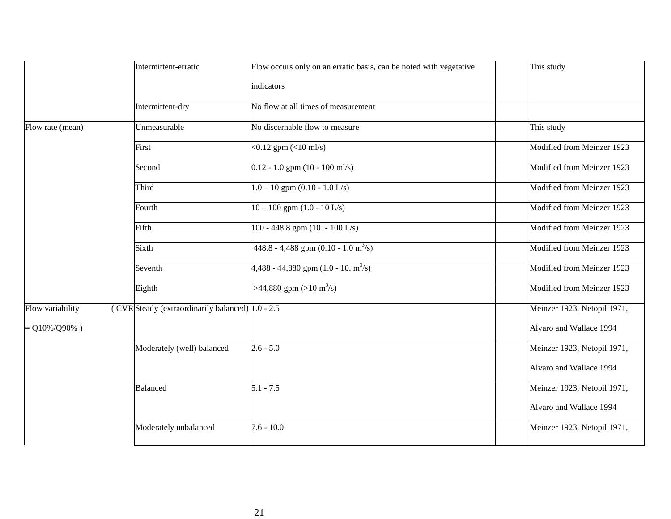|                   | Intermittent-erratic                                    | Flow occurs only on an erratic basis, can be noted with vegetative | This study                  |
|-------------------|---------------------------------------------------------|--------------------------------------------------------------------|-----------------------------|
|                   |                                                         | indicators                                                         |                             |
|                   | Intermittent-dry                                        | No flow at all times of measurement                                |                             |
| Flow rate (mean)  | Unmeasurable                                            | No discernable flow to measure                                     | This study                  |
|                   | First                                                   | $< 0.12$ gpm $(< 10$ ml/s)                                         | Modified from Meinzer 1923  |
|                   | Second                                                  | $0.12 - 1.0$ gpm $\overline{(10 - 100 \text{ m/s})}$               | Modified from Meinzer 1923  |
|                   | Third                                                   | $1.0 - 10$ gpm $(0.10 - 1.0$ L/s)                                  | Modified from Meinzer 1923  |
|                   | Fourth                                                  | $10 - 100$ gpm $(1.0 - 10$ L/s)                                    | Modified from Meinzer 1923  |
|                   | Fifth                                                   | 100 - 448.8 gpm (10. - 100 L/s)                                    | Modified from Meinzer 1923  |
|                   | Sixth                                                   | 448.8 - 4,488 gpm (0.10 - 1.0 m <sup>3</sup> /s)                   | Modified from Meinzer 1923  |
|                   | Seventh                                                 | $4,488 - 44,880$ gpm $(1.0 - 10.$ m <sup>3</sup> /s)               | Modified from Meinzer 1923  |
|                   | Eighth                                                  | >44,880 gpm (>10 m <sup>3</sup> /s)                                | Modified from Meinzer 1923  |
| Flow variability  | ( $CVR$ Steady (extraordinarily balanced) $ 1.0 - 2.5 $ |                                                                    | Meinzer 1923, Netopil 1971, |
| $= Q10\%/Q90\%$ ) |                                                         |                                                                    | Alvaro and Wallace 1994     |
|                   | Moderately (well) balanced                              | $2.6 - 5.0$                                                        | Meinzer 1923, Netopil 1971, |
|                   |                                                         |                                                                    | Alvaro and Wallace 1994     |
|                   | <b>Balanced</b>                                         | $5.1 - 7.5$                                                        | Meinzer 1923, Netopil 1971, |
|                   |                                                         |                                                                    | Alvaro and Wallace 1994     |
|                   | Moderately unbalanced                                   | $7.6 - 10.0$                                                       | Meinzer 1923, Netopil 1971, |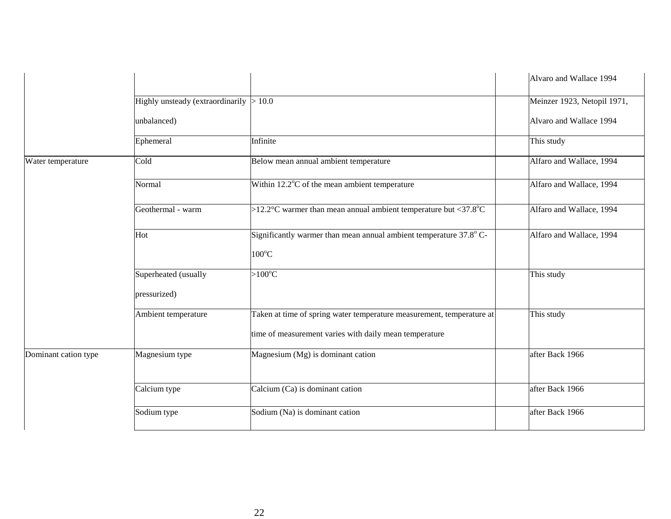|                      |                                  |                                                                                                                                 | Alvaro and Wallace 1994     |
|----------------------|----------------------------------|---------------------------------------------------------------------------------------------------------------------------------|-----------------------------|
|                      | Highly unsteady (extraordinarily | >10.0                                                                                                                           | Meinzer 1923, Netopil 1971, |
|                      | unbalanced)                      |                                                                                                                                 | Alvaro and Wallace 1994     |
|                      | Ephemeral                        | Infinite                                                                                                                        | This study                  |
| Water temperature    | Cold                             | Below mean annual ambient temperature                                                                                           | Alfaro and Wallace, 1994    |
|                      | Normal                           | Within 12.2°C of the mean ambient temperature                                                                                   | Alfaro and Wallace, 1994    |
|                      | Geothermal - warm                | >12.2 °C warmer than mean annual ambient temperature but <37.8 °C                                                               | Alfaro and Wallace, 1994    |
|                      | Hot                              | Significantly warmer than mean annual ambient temperature 37.8° C-<br>$100^{\circ}$ C                                           | Alfaro and Wallace, 1994    |
|                      | Superheated (usually             | $>100^{\circ}$ C                                                                                                                | This study                  |
|                      | pressurized)                     |                                                                                                                                 |                             |
|                      | Ambient temperature              | Taken at time of spring water temperature measurement, temperature at<br>time of measurement varies with daily mean temperature | This study                  |
| Dominant cation type | Magnesium type                   | Magnesium (Mg) is dominant cation                                                                                               | after Back 1966             |
|                      | Calcium type                     | Calcium (Ca) is dominant cation                                                                                                 | after Back 1966             |
|                      | Sodium type                      | Sodium (Na) is dominant cation                                                                                                  | after Back 1966             |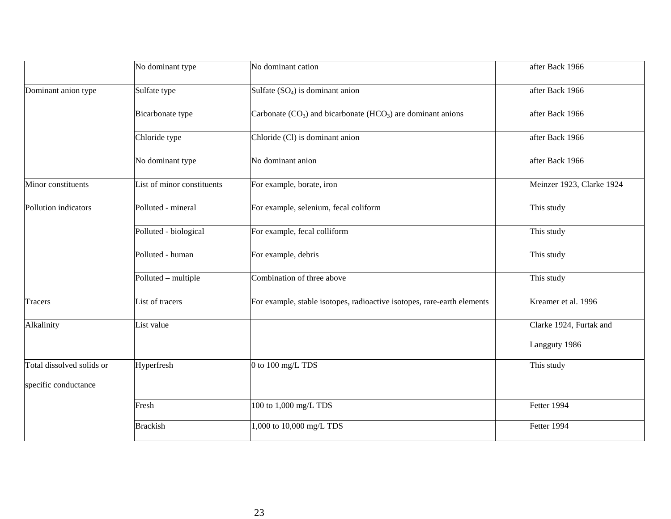|                           | No dominant type           | No dominant cation                                                      | after Back 1966           |
|---------------------------|----------------------------|-------------------------------------------------------------------------|---------------------------|
| Dominant anion type       | Sulfate type               | Sulfate $(SO_4)$ is dominant anion                                      | after Back 1966           |
|                           | Bicarbonate type           | Carbonate $(CO_3)$ and bicarbonate $(HCO_3)$ are dominant anions        | after Back 1966           |
|                           | Chloride type              | Chloride (Cl) is dominant anion                                         | after Back 1966           |
|                           | No dominant type           | No dominant anion                                                       | after Back 1966           |
| Minor constituents        | List of minor constituents | For example, borate, iron                                               | Meinzer 1923, Clarke 1924 |
| Pollution indicators      | Polluted - mineral         | For example, selenium, fecal coliform                                   | This study                |
|                           | Polluted - biological      | For example, fecal colliform                                            | This study                |
|                           | Polluted - human           | For example, debris                                                     | This study                |
|                           | Polluted - multiple        | Combination of three above                                              | This study                |
| Tracers                   | List of tracers            | For example, stable isotopes, radioactive isotopes, rare-earth elements | Kreamer et al. 1996       |
| Alkalinity                | List value                 |                                                                         | Clarke 1924, Furtak and   |
|                           |                            |                                                                         | Langguty 1986             |
| Total dissolved solids or | Hyperfresh                 | 0 to 100 mg/L TDS                                                       | This study                |
| specific conductance      |                            |                                                                         |                           |
|                           | Fresh                      | 100 to 1,000 mg/L TDS                                                   | Fetter 1994               |
|                           | <b>Brackish</b>            | .000 to 10,000 mg/L TDS                                                 | Fetter 1994               |
|                           |                            |                                                                         |                           |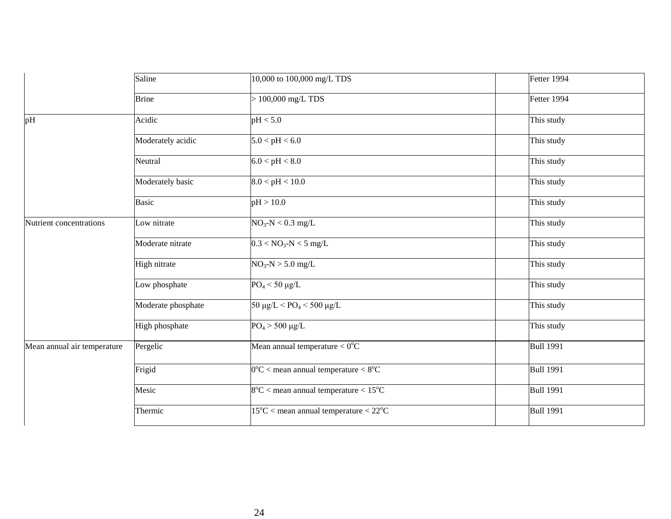|                             | Saline             | 10,000 to 100,000 mg/L TDS                                | Fetter 1994      |
|-----------------------------|--------------------|-----------------------------------------------------------|------------------|
|                             | <b>Brine</b>       | $> 100,000$ mg/L TDS                                      | Fetter 1994      |
| pH                          | Acidic             | pH < 5.0                                                  | This study       |
|                             | Moderately acidic  | 5.0 < pH < 6.0                                            | This study       |
|                             | Neutral            | 6.0 < pH < 8.0                                            | This study       |
|                             | Moderately basic   | 8.0 < pH < 10.0                                           | This study       |
|                             | <b>Basic</b>       | pH > 10.0                                                 | This study       |
| Nutrient concentrations     | Low nitrate        | $NO3-N < 0.3$ mg/L                                        | This study       |
|                             | Moderate nitrate   | $0.3 < NO_3-N < 5$ mg/L                                   | This study       |
|                             | High nitrate       | $NO_3-N > 5.0$ mg/L                                       | This study       |
|                             | Low phosphate      | $PO4 < 50 \mu g/L$                                        | This study       |
|                             | Moderate phosphate | $50 \mu g/L < PQ_4 < 500 \mu g/L$                         | This study       |
|                             | High phosphate     | $PO_4 > 500 \mu g/L$                                      | This study       |
| Mean annual air temperature | Pergelic           | Mean annual temperature $< 0$ <sup>o</sup> C              | <b>Bull 1991</b> |
|                             | Frigid             | $0^{\circ}$ C < mean annual temperature < $8^{\circ}$ C   | <b>Bull 1991</b> |
|                             | Mesic              | $8^{\circ}$ C < mean annual temperature < 15 $^{\circ}$ C | <b>Bull 1991</b> |
|                             | Thermic            | $15^{\circ}$ C < mean annual temperature < $22^{\circ}$ C | <b>Bull 1991</b> |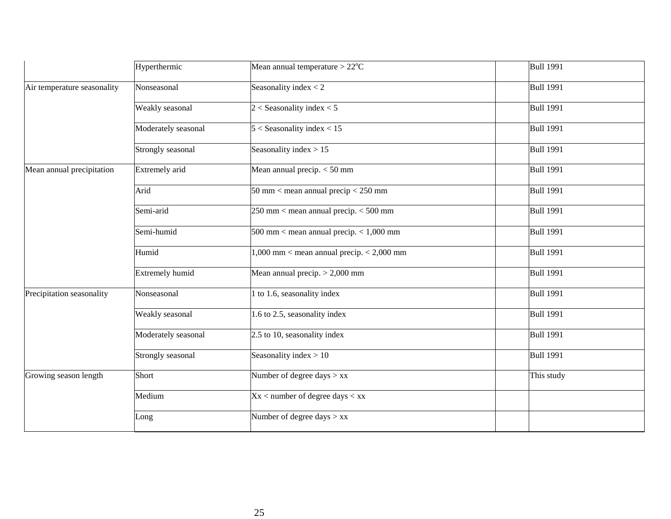|                             | Hyperthermic           | Mean annual temperature $>22^{\circ}$ C       | <b>Bull 1991</b> |
|-----------------------------|------------------------|-----------------------------------------------|------------------|
| Air temperature seasonality | Nonseasonal            | Seasonality index $<$ 2                       | <b>Bull 1991</b> |
|                             | Weakly seasonal        | $2 <$ Seasonality index $<$ 5                 | <b>Bull 1991</b> |
|                             | Moderately seasonal    | $5 <$ Seasonality index $< 15$                | <b>Bull 1991</b> |
|                             | Strongly seasonal      | Seasonality index $> 15$                      | <b>Bull 1991</b> |
| Mean annual precipitation   | Extremely arid         | Mean annual precip. $<$ 50 mm                 | <b>Bull 1991</b> |
|                             | Arid                   | 50 mm < mean annual precip $<$ 250 mm         | <b>Bull 1991</b> |
|                             | Semi-arid              | $250$ mm < mean annual precip. $<$ 500 mm     | <b>Bull 1991</b> |
|                             | Semi-humid             | $500$ mm < mean annual precip. < 1,000 mm     | <b>Bull 1991</b> |
|                             | Humid                  | $1,000$ mm < mean annual precip. < $2,000$ mm | <b>Bull 1991</b> |
|                             | <b>Extremely humid</b> | Mean annual precip. $> 2,000$ mm              | <b>Bull 1991</b> |
| Precipitation seasonality   | Nonseasonal            | 1 to 1.6, seasonality index                   | <b>Bull 1991</b> |
|                             | Weakly seasonal        | 1.6 to 2.5, seasonality index                 | <b>Bull 1991</b> |
|                             | Moderately seasonal    | 2.5 to 10, seasonality index                  | <b>Bull 1991</b> |
|                             | Strongly seasonal      | Seasonality index $> 10$                      | <b>Bull 1991</b> |
| Growing season length       | Short                  | Number of degree days $>$ xx                  | This study       |
|                             | Medium                 | $Xx$ < number of degree days < xx             |                  |
|                             | Long                   | Number of degree days $>$ xx                  |                  |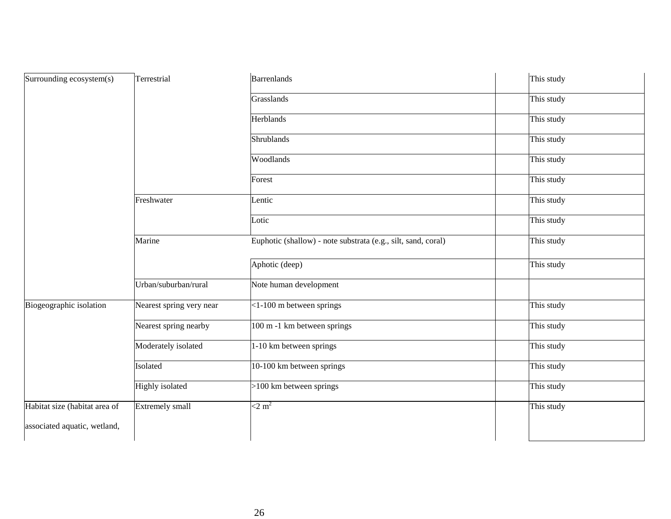| Surrounding ecosystem(s)      | Terrestrial              | Barrenlands                                                   | This study |
|-------------------------------|--------------------------|---------------------------------------------------------------|------------|
|                               |                          | Grasslands                                                    | This study |
|                               |                          | <b>Herblands</b>                                              | This study |
|                               |                          | Shrublands                                                    | This study |
|                               |                          | Woodlands                                                     | This study |
|                               |                          | Forest                                                        | This study |
|                               | Freshwater               | Lentic                                                        | This study |
|                               |                          | Lotic                                                         | This study |
|                               | Marine                   | Euphotic (shallow) - note substrata (e.g., silt, sand, coral) | This study |
|                               |                          | Aphotic (deep)                                                | This study |
|                               | Urban/suburban/rural     | Note human development                                        |            |
| Biogeographic isolation       | Nearest spring very near | $<$ 1-100 m between springs                                   | This study |
|                               | Nearest spring nearby    | 100 m -1 km between springs                                   | This study |
|                               | Moderately isolated      | 1-10 km between springs                                       | This study |
|                               | Isolated                 | 10-100 km between springs                                     | This study |
|                               | Highly isolated          | >100 km between springs                                       | This study |
| Habitat size (habitat area of | Extremely small          | $<$ 2 m <sup>2</sup>                                          | This study |
| associated aquatic, wetland,  |                          |                                                               |            |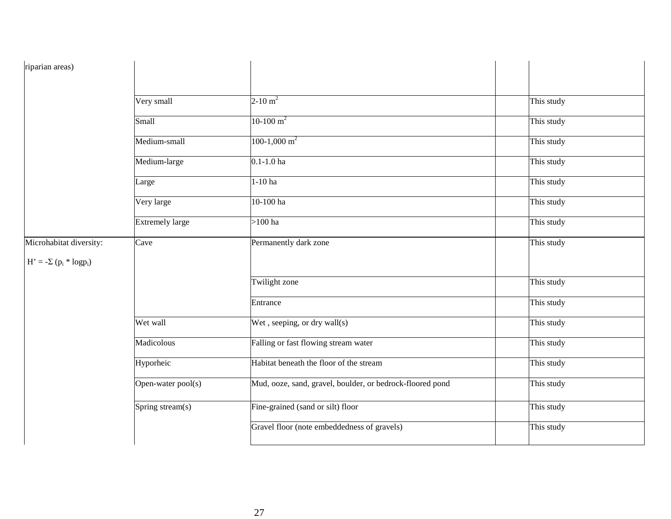| riparian areas)                |                        |                                                           |            |
|--------------------------------|------------------------|-----------------------------------------------------------|------------|
|                                |                        |                                                           |            |
|                                | Very small             | $2-10 \text{ m}^2$                                        | This study |
|                                | Small                  | $10-100 \text{ m}^2$                                      | This study |
|                                | Medium-small           | $100-1,000 \text{ m}^2$                                   | This study |
|                                | Medium-large           | $0.1 - 1.0$ ha                                            | This study |
|                                | Large                  | $1-10$ ha                                                 | This study |
|                                | Very large             | 10-100 ha                                                 | This study |
|                                | <b>Extremely large</b> | $>100$ ha                                                 | This study |
| Microhabitat diversity:        | Cave                   | Permanently dark zone                                     | This study |
| $H' = -\Sigma (p_i * log p_i)$ |                        |                                                           |            |
|                                |                        | Twilight zone                                             | This study |
|                                |                        | Entrance                                                  | This study |
|                                | Wet wall               | Wet, seeping, or dry wall(s)                              | This study |
|                                | Madicolous             | Falling or fast flowing stream water                      | This study |
|                                | Hyporheic              | Habitat beneath the floor of the stream                   | This study |
|                                | Open-water pool(s)     | Mud, ooze, sand, gravel, boulder, or bedrock-floored pond | This study |
|                                | Spring stream(s)       | Fine-grained (sand or silt) floor                         | This study |
|                                |                        | Gravel floor (note embeddedness of gravels)               | This study |
|                                |                        |                                                           |            |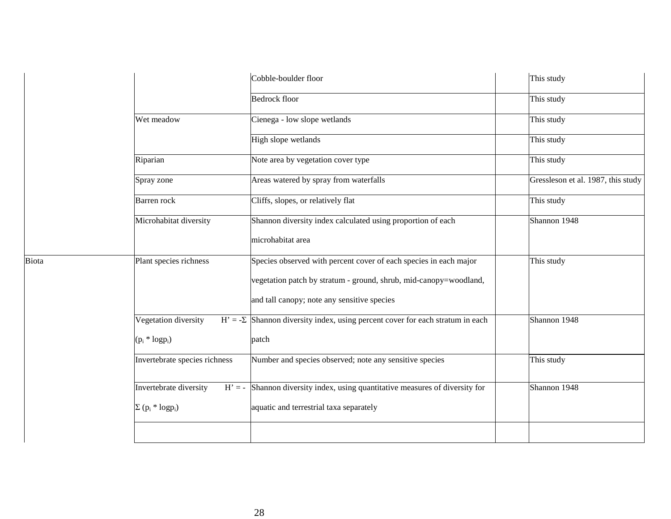|              |                                                | Cobble-boulder floor                                                                 | This study                         |
|--------------|------------------------------------------------|--------------------------------------------------------------------------------------|------------------------------------|
|              |                                                | <b>Bedrock floor</b>                                                                 | This study                         |
|              | Wet meadow                                     | Cienega - low slope wetlands                                                         | This study                         |
|              |                                                | High slope wetlands                                                                  | This study                         |
|              | Riparian                                       | Note area by vegetation cover type                                                   | This study                         |
|              | Spray zone                                     | Areas watered by spray from waterfalls                                               | Gressleson et al. 1987, this study |
|              | Barren rock                                    | Cliffs, slopes, or relatively flat                                                   | This study                         |
|              | Microhabitat diversity                         | Shannon diversity index calculated using proportion of each                          | Shannon 1948                       |
|              |                                                | microhabitat area                                                                    |                                    |
| <b>Biota</b> | Plant species richness                         | Species observed with percent cover of each species in each major                    | This study                         |
|              |                                                | vegetation patch by stratum - ground, shrub, mid-canopy=woodland,                    |                                    |
|              |                                                | and tall canopy; note any sensitive species                                          |                                    |
|              | Vegetation diversity                           | $H' = -\Sigma$ Shannon diversity index, using percent cover for each stratum in each | Shannon 1948                       |
|              | $(p_i * log p_i)$                              | patch                                                                                |                                    |
|              | Invertebrate species richness                  | Number and species observed; note any sensitive species                              | This study                         |
|              | Invertebrate diversity                         | $H' = -$ Shannon diversity index, using quantitative measures of diversity for       | Shannon 1948                       |
|              | $\Sigma$ (p <sub>i</sub> * logp <sub>i</sub> ) | aquatic and terrestrial taxa separately                                              |                                    |
|              |                                                |                                                                                      |                                    |
|              |                                                |                                                                                      |                                    |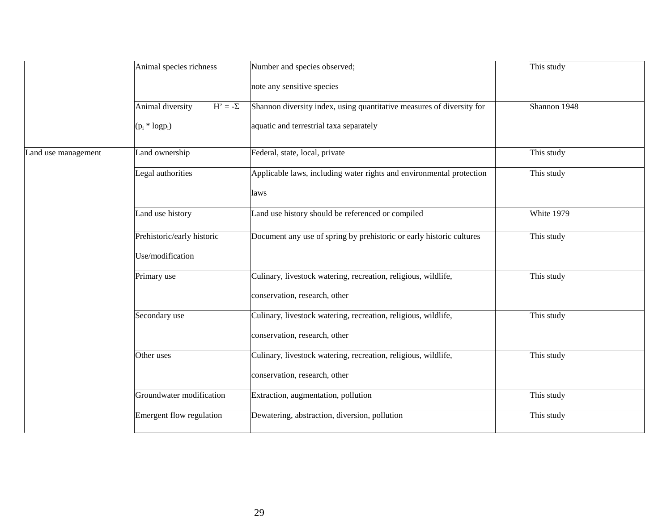|                     | Animal species richness            | Number and species observed;                                          | This study   |
|---------------------|------------------------------------|-----------------------------------------------------------------------|--------------|
|                     |                                    | note any sensitive species                                            |              |
|                     | Animal diversity<br>$H' = -\Sigma$ | Shannon diversity index, using quantitative measures of diversity for | Shannon 1948 |
|                     | $(p_i * log p_i)$                  | aquatic and terrestrial taxa separately                               |              |
| Land use management | Land ownership                     | Federal, state, local, private                                        | This study   |
|                     | Legal authorities                  | Applicable laws, including water rights and environmental protection  | This study   |
|                     |                                    | laws                                                                  |              |
|                     | Land use history                   | Land use history should be referenced or compiled                     | White 1979   |
|                     | Prehistoric/early historic         | Document any use of spring by prehistoric or early historic cultures  | This study   |
|                     | Use/modification                   |                                                                       |              |
|                     | Primary use                        | Culinary, livestock watering, recreation, religious, wildlife,        | This study   |
|                     |                                    | conservation, research, other                                         |              |
|                     | Secondary use                      | Culinary, livestock watering, recreation, religious, wildlife,        | This study   |
|                     |                                    | conservation, research, other                                         |              |
|                     | Other uses                         | Culinary, livestock watering, recreation, religious, wildlife,        | This study   |
|                     |                                    | conservation, research, other                                         |              |
|                     | Groundwater modification           | Extraction, augmentation, pollution                                   | This study   |
|                     | Emergent flow regulation           | Dewatering, abstraction, diversion, pollution                         | This study   |
|                     |                                    |                                                                       |              |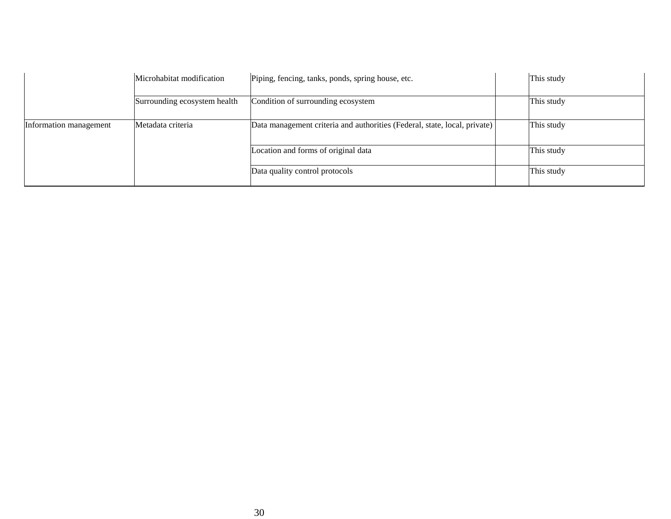|                        | Microhabitat modification    | Piping, fencing, tanks, ponds, spring house, etc.                         | This study |
|------------------------|------------------------------|---------------------------------------------------------------------------|------------|
|                        | Surrounding ecosystem health | Condition of surrounding ecosystem                                        | This study |
| Information management | Metadata criteria            | Data management criteria and authorities (Federal, state, local, private) | This study |
|                        |                              | Location and forms of original data                                       | This study |
|                        |                              | Data quality control protocols                                            | This study |